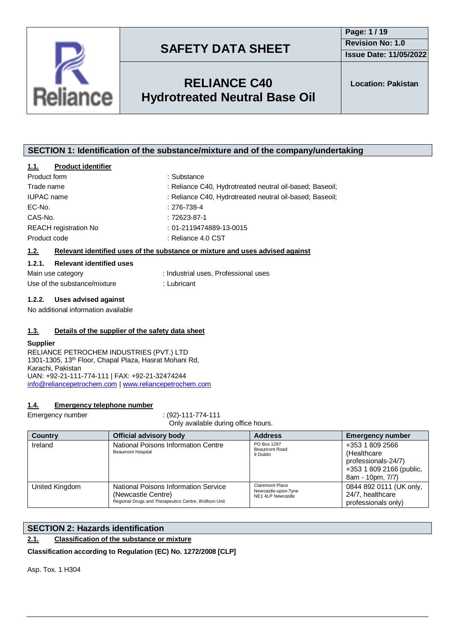



## **RELIANCE C40 Hydrotreated Neutral Base Oil**

## **SECTION 1: Identification of the substance/mixture and of the company/undertaking**

## **1.1. Product identifier**

| Product form                 | : Substance                                                                   |  |
|------------------------------|-------------------------------------------------------------------------------|--|
| Trade name                   | : Reliance C40, Hydrotreated neutral oil-based; Baseoil;                      |  |
| <b>IUPAC</b> name            | : Reliance C40, Hydrotreated neutral oil-based; Baseoil;                      |  |
| EC-No.                       | $: 276 - 738 - 4$                                                             |  |
| CAS-No.                      | $:72623-87-1$                                                                 |  |
| <b>REACH</b> registration No | : 01-2119474889-13-0015                                                       |  |
| Product code                 | : Reliance 4.0 CST                                                            |  |
| 1.2.                         | Relevant identified uses of the substance or mixture and uses advised against |  |

## **1.2.1. Relevant identified uses**

| Main use category            | : Industrial uses. Professional uses |
|------------------------------|--------------------------------------|
| Use of the substance/mixture | : Lubricant                          |

#### **1.2.2. Uses advised against**

No additional information available

### **1.3. Details of the supplier of the safety data sheet**

#### **Supplier**

RELIANCE PETROCHEM INDUSTRIES (PVT.) LTD 1301-1305, 13th Floor, Chapal Plaza, Hasrat Mohani Rd, Karachi, Pakistan UAN: +92-21-111-774-111 | FAX: +92-21-32474244 [info@reliancepetrochem.com](mailto:info@reliancepetrochem.com) [| www.reliancepetrochem.com](http://www.reliancepetrochem.com/)

#### **1.4. Emergency telephone number**

Emergency number : (92)-111-774-111

Only available during office hours.

| <b>Country</b> | <b>Official advisory body</b>                                                                                      | <b>Address</b>                                              | <b>Emergency number</b>                                                                                |
|----------------|--------------------------------------------------------------------------------------------------------------------|-------------------------------------------------------------|--------------------------------------------------------------------------------------------------------|
| Ireland        | National Poisons Information Centre<br><b>Beaumont Hospital</b>                                                    | PO Box 1297<br><b>Beaumont Road</b><br>9 Dublin             | +353 1 809 2566<br>(Healthcare)<br>professionals-24/7)<br>+353 1 809 2166 (public,<br>8am - 10pm, 7/7) |
| United Kingdom | National Poisons Information Service<br>(Newcastle Centre)<br>Regional Drugs and Therapeutics Centre, Wolfson Unit | Claremont Place<br>Newcastle-upon-Tyne<br>NE1 4LP Newcastle | 0844 892 0111 (UK only,<br>24/7, healthcare<br>professionals only)                                     |

## **SECTION 2: Hazards identification**

## **2.1. Classification of the substance or mixture**

**Classification according to Regulation (EC) No. 1272/2008 [CLP]**

Asp. Tox. 1 H304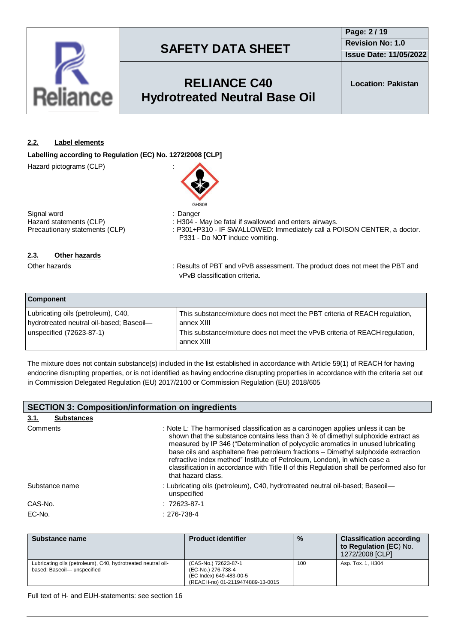

## **RELIANCE C40 Hydrotreated Neutral Base Oil**

**Location: Pakistan**

## **2.2. Label elements**

**Labelling according to Regulation (EC) No. 1272/2008 [CLP]**

Hazard pictograms (CLP) :



Signal word<br>
Hazard statements (CLP) (CLP) : H304 - I Hazard statements (CLP) : H304 - May be fatal if swallowed and enters airways.<br>Precautionary statements (CLP) : P301+P310 - IF SWALLOWED: Immediately call a P

: P301+P310 - IF SWALLOWED: Immediately call a POISON CENTER, a doctor. P331 - Do NOT induce vomiting.

## **2.3. Other hazards**

Other hazards **in the product of PET and vPvB** assessment. The product does not meet the PBT and vPvB classification criteria.

| <b>Component</b>                                                               |                                                                                           |
|--------------------------------------------------------------------------------|-------------------------------------------------------------------------------------------|
| Lubricating oils (petroleum), C40,<br>hydrotreated neutral oil-based; Baseoil- | This substance/mixture does not meet the PBT criteria of REACH regulation,<br>annex XIII  |
| unspecified (72623-87-1)                                                       | This substance/mixture does not meet the vPvB criteria of REACH regulation,<br>annex XIII |

The mixture does not contain substance(s) included in the list established in accordance with Article 59(1) of REACH for having endocrine disrupting properties, or is not identified as having endocrine disrupting properties in accordance with the criteria set out in Commission Delegated Regulation (EU) 2017/2100 or Commission Regulation (EU) 2018/605

| <b>SECTION 3: Composition/information on ingredients</b> |                                                                                                                                                                                                                                                                                                                                                                                                                                                                                                                                                 |  |  |
|----------------------------------------------------------|-------------------------------------------------------------------------------------------------------------------------------------------------------------------------------------------------------------------------------------------------------------------------------------------------------------------------------------------------------------------------------------------------------------------------------------------------------------------------------------------------------------------------------------------------|--|--|
| <b>Substances</b><br><u>3.1.</u>                         |                                                                                                                                                                                                                                                                                                                                                                                                                                                                                                                                                 |  |  |
| Comments                                                 | : Note L: The harmonised classification as a carcinogen applies unless it can be<br>shown that the substance contains less than 3 % of dimethyl sulphoxide extract as<br>measured by IP 346 ("Determination of polycyclic aromatics in unused lubricating<br>base oils and asphaltene free petroleum fractions - Dimethyl sulphoxide extraction<br>refractive index method" Institute of Petroleum, London), in which case a<br>classification in accordance with Title II of this Regulation shall be performed also for<br>that hazard class. |  |  |
| Substance name                                           | : Lubricating oils (petroleum), C40, hydrotreated neutral oil-based; Baseoil-<br>unspecified                                                                                                                                                                                                                                                                                                                                                                                                                                                    |  |  |
| CAS-No.                                                  | $: 72623 - 87 - 1$                                                                                                                                                                                                                                                                                                                                                                                                                                                                                                                              |  |  |
| EC-No.                                                   | $: 276 - 738 - 4$                                                                                                                                                                                                                                                                                                                                                                                                                                                                                                                               |  |  |

| Substance name                                                                             | <b>Product identifier</b>                                                                                 | $\frac{0}{0}$ | <b>Classification according</b><br>to Regulation (EC) No.<br>1272/2008 [CLP] |
|--------------------------------------------------------------------------------------------|-----------------------------------------------------------------------------------------------------------|---------------|------------------------------------------------------------------------------|
| Lubricating oils (petroleum), C40, hydrotreated neutral oil-<br>based; Baseoil-unspecified | (CAS-No.) 72623-87-1<br>(EC-No.) 276-738-4<br>(EC Index) 649-483-00-5<br>(REACH-no) 01-2119474889-13-0015 | 100           | Asp. Tox. 1, H304                                                            |

Full text of H- and EUH-statements: see section 16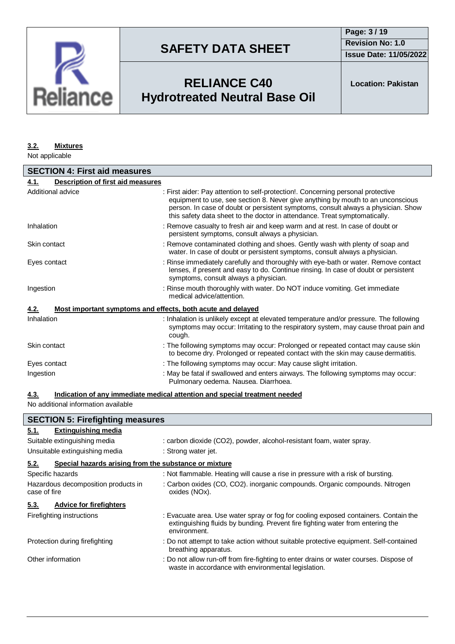

**Issue Date: 11/05/2022**

## **RELIANCE C40 Hydrotreated Neutral Base Oil**

**Location: Pakistan**

### **3.2. Mixtures**

Not applicable

| <b>SECTION 4: First aid measures</b>                                |                                                                                                                                                                                                                                                                                                                                        |  |
|---------------------------------------------------------------------|----------------------------------------------------------------------------------------------------------------------------------------------------------------------------------------------------------------------------------------------------------------------------------------------------------------------------------------|--|
| Description of first aid measures<br>4.1.                           |                                                                                                                                                                                                                                                                                                                                        |  |
| Additional advice                                                   | : First aider: Pay attention to self-protection!. Concerning personal protective<br>equipment to use, see section 8. Never give anything by mouth to an unconscious<br>person. In case of doubt or persistent symptoms, consult always a physician. Show<br>this safety data sheet to the doctor in attendance. Treat symptomatically. |  |
| Inhalation                                                          | : Remove casualty to fresh air and keep warm and at rest. In case of doubt or<br>persistent symptoms, consult always a physician.                                                                                                                                                                                                      |  |
| Skin contact                                                        | : Remove contaminated clothing and shoes. Gently wash with plenty of soap and<br>water. In case of doubt or persistent symptoms, consult always a physician.                                                                                                                                                                           |  |
| Eyes contact                                                        | : Rinse immediately carefully and thoroughly with eye-bath or water. Remove contact<br>lenses, if present and easy to do. Continue rinsing. In case of doubt or persistent<br>symptoms, consult always a physician.                                                                                                                    |  |
| Ingestion                                                           | : Rinse mouth thoroughly with water. Do NOT induce vomiting. Get immediate<br>medical advice/attention.                                                                                                                                                                                                                                |  |
| Most important symptoms and effects, both acute and delayed<br>4.2. |                                                                                                                                                                                                                                                                                                                                        |  |
| Inhalation                                                          | : Inhalation is unlikely except at elevated temperature and/or pressure. The following<br>symptoms may occur: Irritating to the respiratory system, may cause throat pain and<br>cough.                                                                                                                                                |  |
| Skin contact                                                        | : The following symptoms may occur: Prolonged or repeated contact may cause skin<br>to become dry. Prolonged or repeated contact with the skin may cause dermatitis.                                                                                                                                                                   |  |
| Eyes contact                                                        | : The following symptoms may occur: May cause slight irritation.                                                                                                                                                                                                                                                                       |  |
| Ingestion                                                           | : May be fatal if swallowed and enters airways. The following symptoms may occur:<br>Pulmonary oedema. Nausea. Diarrhoea.                                                                                                                                                                                                              |  |

### **4.3. Indication of any immediate medical attention and special treatment needed**

No additional information available

| <b>SECTION 5: Firefighting measures</b>                       |                                                                                                                                                                                       |  |
|---------------------------------------------------------------|---------------------------------------------------------------------------------------------------------------------------------------------------------------------------------------|--|
| <b>Extinguishing media</b><br>5.1.                            |                                                                                                                                                                                       |  |
| Suitable extinguishing media                                  | : carbon dioxide (CO2), powder, alcohol-resistant foam, water spray.                                                                                                                  |  |
| Unsuitable extinguishing media                                | : Strong water jet.                                                                                                                                                                   |  |
| 5.2.<br>Special hazards arising from the substance or mixture |                                                                                                                                                                                       |  |
| Specific hazards                                              | : Not flammable. Heating will cause a rise in pressure with a risk of bursting.                                                                                                       |  |
| Hazardous decomposition products in<br>case of fire           | : Carbon oxides (CO, CO2). inorganic compounds. Organic compounds. Nitrogen<br>oxides (NOx).                                                                                          |  |
| <b>Advice for firefighters</b><br>5.3.                        |                                                                                                                                                                                       |  |
| Firefighting instructions                                     | : Evacuate area. Use water spray or fog for cooling exposed containers. Contain the<br>extinguishing fluids by bunding. Prevent fire fighting water from entering the<br>environment. |  |
| Protection during firefighting                                | : Do not attempt to take action without suitable protective equipment. Self-contained<br>breathing apparatus.                                                                         |  |
| Other information                                             | : Do not allow run-off from fire-fighting to enter drains or water courses. Dispose of<br>waste in accordance with environmental legislation.                                         |  |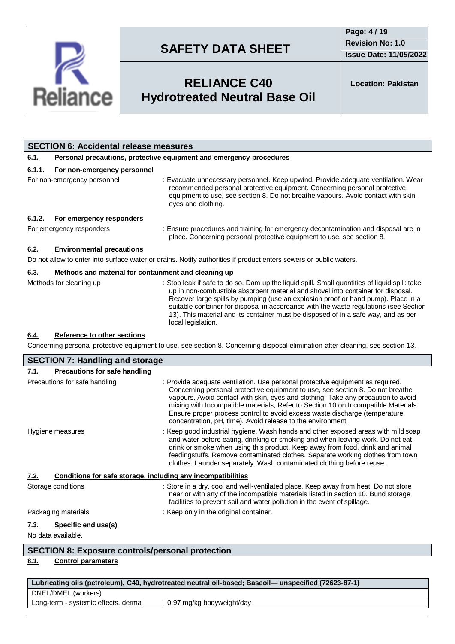

**Issue Date: 11/05/2022**

# **RELIANCE C40 Hydrotreated Neutral Base Oil**

**Location: Pakistan**

|                                    | <b>SECTION 6: Accidental release measures</b>                              |                                                                                                                                                                                                                                                                                                                                                                                                                                                                             |  |
|------------------------------------|----------------------------------------------------------------------------|-----------------------------------------------------------------------------------------------------------------------------------------------------------------------------------------------------------------------------------------------------------------------------------------------------------------------------------------------------------------------------------------------------------------------------------------------------------------------------|--|
| <u>6.1.</u>                        | <b>Personal precautions, protective equipment and emergency procedures</b> |                                                                                                                                                                                                                                                                                                                                                                                                                                                                             |  |
| 6.1.1.                             | For non-emergency personnel                                                |                                                                                                                                                                                                                                                                                                                                                                                                                                                                             |  |
|                                    | For non-emergency personnel                                                | : Evacuate unnecessary personnel. Keep upwind. Provide adequate ventilation. Wear<br>recommended personal protective equipment. Concerning personal protective<br>equipment to use, see section 8. Do not breathe vapours. Avoid contact with skin,<br>eyes and clothing.                                                                                                                                                                                                   |  |
| 6.1.2.<br>For emergency responders |                                                                            |                                                                                                                                                                                                                                                                                                                                                                                                                                                                             |  |
|                                    | For emergency responders                                                   | : Ensure procedures and training for emergency decontamination and disposal are in<br>place. Concerning personal protective equipment to use, see section 8.                                                                                                                                                                                                                                                                                                                |  |
| 6.2.                               | <b>Environmental precautions</b>                                           |                                                                                                                                                                                                                                                                                                                                                                                                                                                                             |  |
|                                    |                                                                            | Do not allow to enter into surface water or drains. Notify authorities if product enters sewers or public waters.                                                                                                                                                                                                                                                                                                                                                           |  |
| 6.3.                               | Methods and material for containment and cleaning up                       |                                                                                                                                                                                                                                                                                                                                                                                                                                                                             |  |
|                                    | Methods for cleaning up                                                    | : Stop leak if safe to do so. Dam up the liquid spill. Small quantities of liquid spill: take<br>up in non-combustible absorbent material and shovel into container for disposal.<br>Recover large spills by pumping (use an explosion proof or hand pump). Place in a<br>suitable container for disposal in accordance with the waste regulations (see Section<br>13). This material and its container must be disposed of in a safe way, and as per<br>local legislation. |  |
| 6.4.                               | Reference to other sections                                                | Concerning personal protective equipment to use, see section 8. Concerning disposal elimination after cleaning, see section 13.                                                                                                                                                                                                                                                                                                                                             |  |

| <b>SECTION 7: Handling and storage</b>                               |                                                                                                                                                                                                                                                                                                                                                                                                                                                                                           |  |
|----------------------------------------------------------------------|-------------------------------------------------------------------------------------------------------------------------------------------------------------------------------------------------------------------------------------------------------------------------------------------------------------------------------------------------------------------------------------------------------------------------------------------------------------------------------------------|--|
| <b>Precautions for safe handling</b><br><u>7.1.</u>                  |                                                                                                                                                                                                                                                                                                                                                                                                                                                                                           |  |
| Precautions for safe handling                                        | : Provide adequate ventilation. Use personal protective equipment as required.<br>Concerning personal protective equipment to use, see section 8. Do not breathe<br>vapours. Avoid contact with skin, eyes and clothing. Take any precaution to avoid<br>mixing with Incompatible materials, Refer to Section 10 on Incompatible Materials.<br>Ensure proper process control to avoid excess waste discharge (temperature,<br>concentration, pH, time). Avoid release to the environment. |  |
| Hygiene measures                                                     | : Keep good industrial hygiene. Wash hands and other exposed areas with mild soap<br>and water before eating, drinking or smoking and when leaving work. Do not eat,<br>drink or smoke when using this product. Keep away from food, drink and animal<br>feedingstuffs. Remove contaminated clothes. Separate working clothes from town<br>clothes. Launder separately. Wash contaminated clothing before reuse.                                                                          |  |
| Conditions for safe storage, including any incompatibilities<br>7.2. |                                                                                                                                                                                                                                                                                                                                                                                                                                                                                           |  |
| Storage conditions                                                   | : Store in a dry, cool and well-ventilated place. Keep away from heat. Do not store<br>near or with any of the incompatible materials listed in section 10. Bund storage<br>facilities to prevent soil and water pollution in the event of spillage.                                                                                                                                                                                                                                      |  |
| Packaging materials                                                  | : Keep only in the original container.                                                                                                                                                                                                                                                                                                                                                                                                                                                    |  |
| Specific end use(s)<br>7.3.<br>No data available.                    |                                                                                                                                                                                                                                                                                                                                                                                                                                                                                           |  |
| <b>CECTION 9. Expecuse controle/personal protection</b>              |                                                                                                                                                                                                                                                                                                                                                                                                                                                                                           |  |

## **SECTION 8: Exposure controls/personal protection**

## **8.1. Control parameters**

| Lubricating oils (petroleum), C40, hydrotreated neutral oil-based; Baseoil— unspecified (72623-87-1) |                           |  |
|------------------------------------------------------------------------------------------------------|---------------------------|--|
| DNEL/DMEL (workers)                                                                                  |                           |  |
| Long-term - systemic effects, dermal                                                                 | 0,97 mg/kg bodyweight/day |  |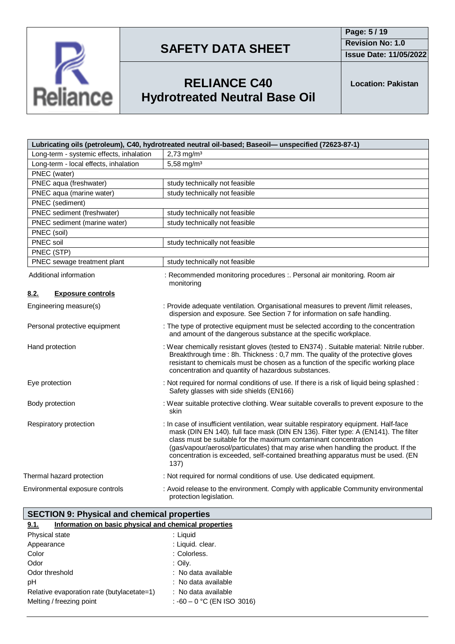

**Page: 5 / 19 Revision No: 1.0**

**Issue Date: 11/05/2022**



# **RELIANCE C40 Hydrotreated Neutral Base Oil**

**Location: Pakistan**

|                                          | Lubricating oils (petroleum), C40, hydrotreated neutral oil-based; Baseoil- unspecified (72623-87-1)                                                                                                                                                                                                                                                                                                                             |  |
|------------------------------------------|----------------------------------------------------------------------------------------------------------------------------------------------------------------------------------------------------------------------------------------------------------------------------------------------------------------------------------------------------------------------------------------------------------------------------------|--|
| Long-term - systemic effects, inhalation | $2,73$ mg/m <sup>3</sup>                                                                                                                                                                                                                                                                                                                                                                                                         |  |
| Long-term - local effects, inhalation    | 5,58 mg/m <sup>3</sup>                                                                                                                                                                                                                                                                                                                                                                                                           |  |
| PNEC (water)                             |                                                                                                                                                                                                                                                                                                                                                                                                                                  |  |
| PNEC aqua (freshwater)                   | study technically not feasible                                                                                                                                                                                                                                                                                                                                                                                                   |  |
| PNEC aqua (marine water)                 | study technically not feasible                                                                                                                                                                                                                                                                                                                                                                                                   |  |
| PNEC (sediment)                          |                                                                                                                                                                                                                                                                                                                                                                                                                                  |  |
| PNEC sediment (freshwater)               | study technically not feasible                                                                                                                                                                                                                                                                                                                                                                                                   |  |
| PNEC sediment (marine water)             | study technically not feasible                                                                                                                                                                                                                                                                                                                                                                                                   |  |
| PNEC (soil)                              |                                                                                                                                                                                                                                                                                                                                                                                                                                  |  |
| PNEC soil                                | study technically not feasible                                                                                                                                                                                                                                                                                                                                                                                                   |  |
| PNEC (STP)                               |                                                                                                                                                                                                                                                                                                                                                                                                                                  |  |
| PNEC sewage treatment plant              | study technically not feasible                                                                                                                                                                                                                                                                                                                                                                                                   |  |
| Additional information                   | : Recommended monitoring procedures :. Personal air monitoring. Room air<br>monitoring                                                                                                                                                                                                                                                                                                                                           |  |
| 8.2.<br><b>Exposure controls</b>         |                                                                                                                                                                                                                                                                                                                                                                                                                                  |  |
| Engineering measure(s)                   | : Provide adequate ventilation. Organisational measures to prevent /limit releases,<br>dispersion and exposure. See Section 7 for information on safe handling.                                                                                                                                                                                                                                                                  |  |
| Personal protective equipment            | : The type of protective equipment must be selected according to the concentration<br>and amount of the dangerous substance at the specific workplace.                                                                                                                                                                                                                                                                           |  |
| Hand protection                          | : Wear chemically resistant gloves (tested to EN374) . Suitable material: Nitrile rubber.<br>Breakthrough time : 8h. Thickness : 0,7 mm. The quality of the protective gloves<br>resistant to chemicals must be chosen as a function of the specific working place<br>concentration and quantity of hazardous substances.                                                                                                        |  |
| Eye protection                           | : Not required for normal conditions of use. If there is a risk of liquid being splashed :<br>Safety glasses with side shields (EN166)                                                                                                                                                                                                                                                                                           |  |
| Body protection                          | : Wear suitable protective clothing. Wear suitable coveralls to prevent exposure to the<br>skin                                                                                                                                                                                                                                                                                                                                  |  |
| Respiratory protection                   | : In case of insufficient ventilation, wear suitable respiratory equipment. Half-face<br>mask (DIN EN 140). full face mask (DIN EN 136). Filter type: A (EN141). The filter<br>class must be suitable for the maximum contaminant concentration<br>(gas/vapour/aerosol/particulates) that may arise when handling the product. If the<br>concentration is exceeded, self-contained breathing apparatus must be used. (EN<br>137) |  |
| Thermal hazard protection                | : Not required for normal conditions of use. Use dedicated equipment.                                                                                                                                                                                                                                                                                                                                                            |  |
| Environmental exposure controls          | : Avoid release to the environment. Comply with applicable Community environmental<br>protection legislation.                                                                                                                                                                                                                                                                                                                    |  |

|      | <b>SECTION 9: Physical and chemical properties</b>    |
|------|-------------------------------------------------------|
| 9.1. | Information on basic physical and chemical properties |

| Physical state                             | : Liguid                     |
|--------------------------------------------|------------------------------|
| Appearance                                 | : Liquid. clear.             |
| Color                                      | : Colorless.                 |
| Odor                                       | : Oily.                      |
| Odor threshold                             | : No data available          |
| рH                                         | : No data available          |
| Relative evaporation rate (butylacetate=1) | : No data available          |
| Melting / freezing point                   | : $-60 - 0$ °C (EN ISO 3016) |
|                                            |                              |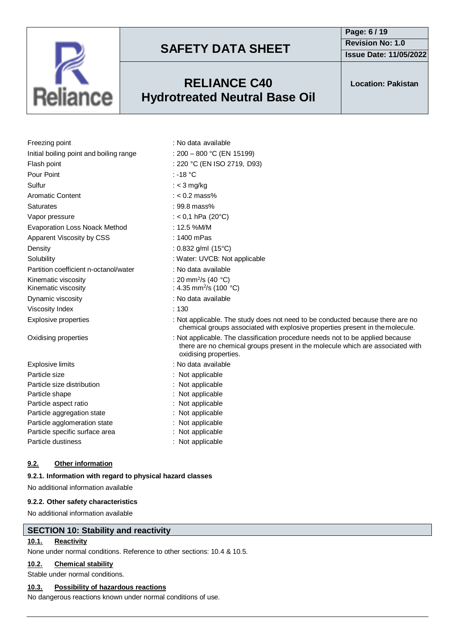

## **RELIANCE C40 Hydrotreated Neutral Base Oil**

**Page: 6 / 19 Revision No: 1.0 Issue Date: 11/05/2022**

**Location: Pakistan**

| Freezing point                             | : No data available                                                                                                                                                                       |
|--------------------------------------------|-------------------------------------------------------------------------------------------------------------------------------------------------------------------------------------------|
| Initial boiling point and boiling range    | : $200 - 800$ °C (EN 15199)                                                                                                                                                               |
| Flash point                                | : 220 °C (EN ISO 2719, D93)                                                                                                                                                               |
| Pour Point                                 | : -18 $^{\circ}$ C                                                                                                                                                                        |
| Sulfur                                     | : $<$ 3 mg/kg                                                                                                                                                                             |
| <b>Aromatic Content</b>                    | $: < 0.2$ mass%                                                                                                                                                                           |
| <b>Saturates</b>                           | : 99.8 mass%                                                                                                                                                                              |
| Vapor pressure                             | : < 0,1 hPa (20 $^{\circ}$ C)                                                                                                                                                             |
| <b>Evaporation Loss Noack Method</b>       | : 12.5 %M/M                                                                                                                                                                               |
| Apparent Viscosity by CSS                  | $: 1400$ mPas                                                                                                                                                                             |
| Density                                    | : 0.832 g/ml $(15^{\circ}C)$                                                                                                                                                              |
| Solubility                                 | : Water: UVCB: Not applicable                                                                                                                                                             |
| Partition coefficient n-octanol/water      | : No data available                                                                                                                                                                       |
| Kinematic viscosity<br>Kinematic viscosity | : 20 mm <sup>2</sup> /s (40 °C)<br>: 4.35 mm <sup>2</sup> /s (100 °C)                                                                                                                     |
| Dynamic viscosity                          | : No data available                                                                                                                                                                       |
| <b>Viscosity Index</b>                     | :130                                                                                                                                                                                      |
| <b>Explosive properties</b>                | : Not applicable. The study does not need to be conducted because there are no<br>chemical groups associated with explosive properties present in the molecule.                           |
| Oxidising properties                       | : Not applicable. The classification procedure needs not to be applied because<br>there are no chemical groups present in the molecule which are associated with<br>oxidising properties. |
| Explosive limits                           | : No data available                                                                                                                                                                       |
| Particle size                              | : Not applicable                                                                                                                                                                          |
| Particle size distribution                 | : Not applicable                                                                                                                                                                          |
| Particle shape                             | Not applicable                                                                                                                                                                            |
| Particle aspect ratio                      | : Not applicable                                                                                                                                                                          |
| Particle aggregation state                 | Not applicable                                                                                                                                                                            |
| Particle agglomeration state               | : Not applicable                                                                                                                                                                          |
| Particle specific surface area             | : Not applicable                                                                                                                                                                          |
| Particle dustiness                         | : Not applicable                                                                                                                                                                          |

## **9.2. Other information**

## **9.2.1. Information with regard to physical hazard classes**

No additional information available

## **9.2.2. Other safety characteristics**

No additional information available

## **SECTION 10: Stability and reactivity**

## **10.1. Reactivity**

None under normal conditions. Reference to other sections: 10.4 & 10.5.

## **10.2. Chemical stability**

Stable under normal conditions.

## **10.3. Possibility of hazardous reactions**

No dangerous reactions known under normal conditions of use.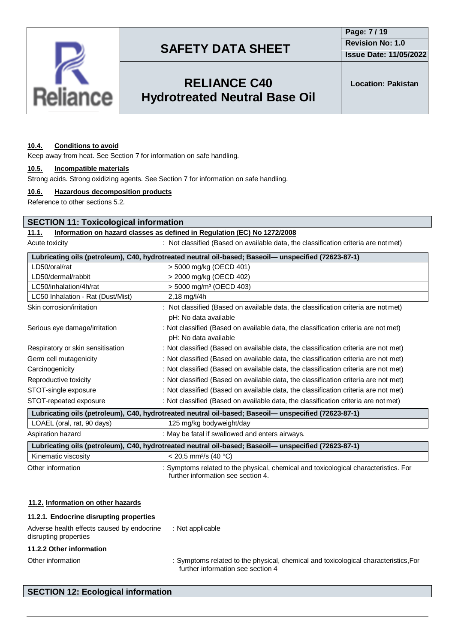

**Issue Date: 11/05/2022**

## **RELIANCE C40 Hydrotreated Neutral Base Oil**

**Location: Pakistan**

#### **10.4. Conditions to avoid**

Keep away from heat. See Section 7 for information on safe handling.

#### **10.5. Incompatible materials**

Strong acids. Strong oxidizing agents. See Section 7 for information on safe handling.

#### **10.6. Hazardous decomposition products**

Reference to other sections 5.2.

### **SECTION 11: Toxicological information**

### **11.1. Information on hazard classes as defined in Regulation (EC) No 1272/2008**

Acute toxicity **interest in the classified (Based on available data, the classification criteria are not met)** 

| Lubricating oils (petroleum), C40, hydrotreated neutral oil-based; Baseoil— unspecified (72623-87-1) |                                                                                     |  |
|------------------------------------------------------------------------------------------------------|-------------------------------------------------------------------------------------|--|
| LD50/oral/rat                                                                                        | > 5000 mg/kg (OECD 401)                                                             |  |
| LD50/dermal/rabbit                                                                                   | > 2000 mg/kg (OECD 402)                                                             |  |
| LC50/inhalation/4h/rat                                                                               | $>$ 5000 mg/m <sup>3</sup> (OECD 403)                                               |  |
| LC50 Inhalation - Rat (Dust/Mist)                                                                    | $2,18$ mg/l/4h                                                                      |  |
| Skin corrosion/irritation                                                                            | : Not classified (Based on available data, the classification criteria are not met) |  |
|                                                                                                      | pH: No data available                                                               |  |
| Serious eye damage/irritation                                                                        | : Not classified (Based on available data, the classification criteria are not met) |  |
|                                                                                                      | pH: No data available                                                               |  |
| Respiratory or skin sensitisation                                                                    | : Not classified (Based on available data, the classification criteria are not met) |  |
| Germ cell mutagenicity                                                                               | : Not classified (Based on available data, the classification criteria are not met) |  |
| Carcinogenicity                                                                                      | : Not classified (Based on available data, the classification criteria are not met) |  |
| Reproductive toxicity                                                                                | : Not classified (Based on available data, the classification criteria are not met) |  |
| STOT-single exposure                                                                                 | : Not classified (Based on available data, the classification criteria are not met) |  |
| STOT-repeated exposure                                                                               | : Not classified (Based on available data, the classification criteria are not met) |  |
| Lubricating oils (petroleum), C40, hydrotreated neutral oil-based; Baseoil— unspecified (72623-87-1) |                                                                                     |  |
| LOAEL (oral, rat, 90 days)                                                                           | 125 mg/kg bodyweight/day                                                            |  |
| Aspiration hazard                                                                                    | : May be fatal if swallowed and enters airways.                                     |  |
| Lubricating oils (petroleum), C40, hydrotreated neutral oil-based; Baseoil— unspecified (72623-87-1) |                                                                                     |  |

Kinematic viscosity  $\sim$  20,5 mm<sup>2</sup>/s (40 °C)

Other information : Symptoms related to the physical, chemical and toxicological characteristics. For further information see section 4.

#### **11.2. Information on other hazards**

| 11.2.1. Endocrine disrupting properties                             |                                                                                                       |
|---------------------------------------------------------------------|-------------------------------------------------------------------------------------------------------|
| Adverse health effects caused by endocrine<br>disrupting properties | : Not applicable                                                                                      |
| 11.2.2 Other information                                            |                                                                                                       |
| Other information                                                   | : Symptoms related to the physical, chemical and toxicological c<br>further information and contion 1 |

characteristics,For further information see section 4

## **SECTION 12: Ecological information**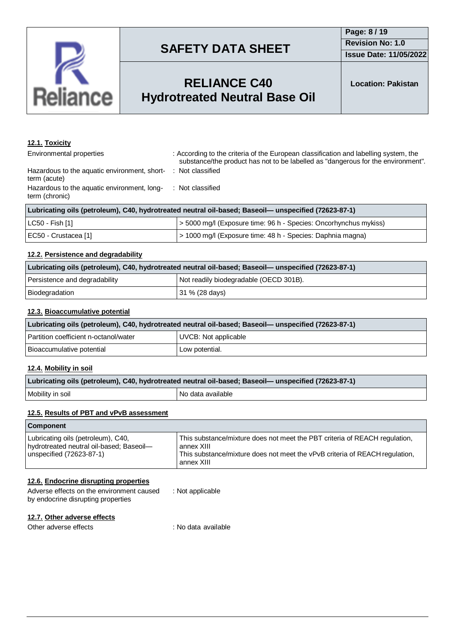

## **RELIANCE C40 Hydrotreated Neutral Base Oil**

## **12.1. Toxicity**

Environmental properties : According to the criteria of the European classification and labelling system, the substance/the product has not to be labelled as "dangerous for the environment". : Not classified

Hazardous to the aquatic environment, shortterm (acute) Hazardous to the aquatic environment, longterm (chronic) : Not classified

| Lubricating oils (petroleum), C40, hydrotreated neutral oil-based; Baseoil— unspecified (72623-87-1) |                                                                |  |
|------------------------------------------------------------------------------------------------------|----------------------------------------------------------------|--|
| LC50 - Fish [1]                                                                                      | S000 mg/l (Exposure time: 96 h - Species: Oncorhynchus mykiss) |  |
| EC50 - Crustacea [1]                                                                                 | > 1000 mg/l (Exposure time: 48 h - Species: Daphnia magna)     |  |

## **12.2. Persistence and degradability**

| Lubricating oils (petroleum), C40, hydrotreated neutral oil-based; Baseoil— unspecified (72623-87-1) |                                        |  |
|------------------------------------------------------------------------------------------------------|----------------------------------------|--|
| Persistence and degradability                                                                        | Not readily biodegradable (OECD 301B). |  |
| Biodegradation                                                                                       | 31 % (28 days)                         |  |

### **12.3. Bioaccumulative potential**

| Lubricating oils (petroleum), C40, hydrotreated neutral oil-based; Baseoil— unspecified (72623-87-1) |                      |  |
|------------------------------------------------------------------------------------------------------|----------------------|--|
| Partition coefficient n-octanol/water                                                                | UVCB: Not applicable |  |
| Bioaccumulative potential                                                                            | Low potential.       |  |

#### **12.4. Mobility in soil**

| Lubricating oils (petroleum), C40, hydrotreated neutral oil-based; Baseoil- unspecified (72623-87-1) |                     |  |
|------------------------------------------------------------------------------------------------------|---------------------|--|
| Mobility in soil                                                                                     | I No data available |  |

#### **12.5. Results of PBT and vPvB assessment**

| <b>Component</b>                                                                                           |                                                                                                                                                                                       |  |
|------------------------------------------------------------------------------------------------------------|---------------------------------------------------------------------------------------------------------------------------------------------------------------------------------------|--|
| Lubricating oils (petroleum), C40,<br>hydrotreated neutral oil-based; Baseoil-<br>unspecified (72623-87-1) | This substance/mixture does not meet the PBT criteria of REACH regulation,<br>annex XIII<br>This substance/mixture does not meet the vPvB criteria of REACH regulation,<br>annex XIII |  |

### **12.6. Endocrine disrupting properties**

| Adverse effects on the environment caused | : Not applicable |
|-------------------------------------------|------------------|
| by endocrine disrupting properties        |                  |

### **12.7. Other adverse effects**

Other adverse effects in the set of the set of the set of the contract of the contract of the contract of the contract of the contract of the contract of the contract of the contract of the contract of the contract of the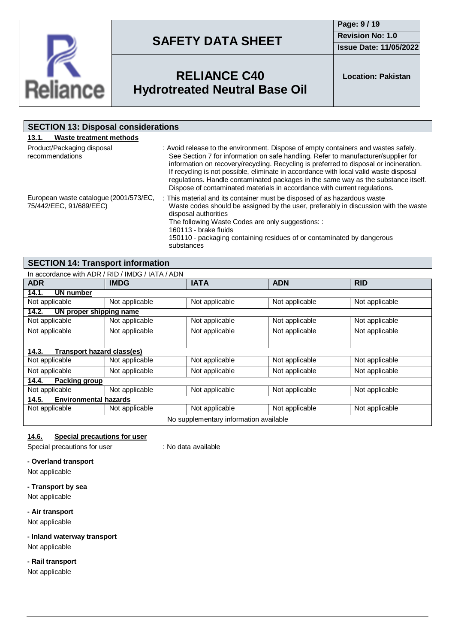

**Page: 9 / 19 Revision No: 1.0 Issue Date: 11/05/2022**



## **RELIANCE C40 Hydrotreated Neutral Base Oil**

**Location: Pakistan**

| <b>SECTION 13: Disposal considerations</b>                        |                                                                                                                                                                                                                                                                                                                                                                                                                                                                                                                                |  |
|-------------------------------------------------------------------|--------------------------------------------------------------------------------------------------------------------------------------------------------------------------------------------------------------------------------------------------------------------------------------------------------------------------------------------------------------------------------------------------------------------------------------------------------------------------------------------------------------------------------|--|
| Waste treatment methods<br>13.1.                                  |                                                                                                                                                                                                                                                                                                                                                                                                                                                                                                                                |  |
| Product/Packaging disposal<br>recommendations                     | : Avoid release to the environment. Dispose of empty containers and wastes safely.<br>See Section 7 for information on safe handling. Refer to manufacturer/supplier for<br>information on recovery/recycling. Recycling is preferred to disposal or incineration.<br>If recycling is not possible, eliminate in accordance with local valid waste disposal<br>regulations. Handle contaminated packages in the same way as the substance itself.<br>Dispose of contaminated materials in accordance with current regulations. |  |
| European waste catalogue (2001/573/EC,<br>75/442/EEC, 91/689/EEC) | : This material and its container must be disposed of as hazardous waste<br>Waste codes should be assigned by the user, preferably in discussion with the waste<br>disposal authorities<br>The following Waste Codes are only suggestions: :<br>160113 - brake fluids<br>150110 - packaging containing residues of or contaminated by dangerous<br>substances                                                                                                                                                                  |  |

## **SECTION 14: Transport information**

| In accordance with ADR / RID / IMDG / IATA / ADN |                |                |                |                |  |
|--------------------------------------------------|----------------|----------------|----------------|----------------|--|
| <b>ADR</b>                                       | <b>IMDG</b>    | <b>IATA</b>    | <b>ADN</b>     | <b>RID</b>     |  |
| 14.1.<br>UN number                               |                |                |                |                |  |
| Not applicable                                   | Not applicable | Not applicable | Not applicable | Not applicable |  |
| 14.2.<br>UN proper shipping name                 |                |                |                |                |  |
| Not applicable                                   | Not applicable | Not applicable | Not applicable | Not applicable |  |
| Not applicable                                   | Not applicable | Not applicable | Not applicable | Not applicable |  |
|                                                  |                |                |                |                |  |
| Transport hazard class(es)<br>14.3.              |                |                |                |                |  |
| Not applicable                                   | Not applicable | Not applicable | Not applicable | Not applicable |  |
| Not applicable                                   | Not applicable | Not applicable | Not applicable | Not applicable |  |
| 14.4.<br>Packing group                           |                |                |                |                |  |
| Not applicable                                   | Not applicable | Not applicable | Not applicable | Not applicable |  |
| 14.5.<br><b>Environmental hazards</b>            |                |                |                |                |  |
| Not applicable                                   | Not applicable | Not applicable | Not applicable | Not applicable |  |
| No supplementary information available           |                |                |                |                |  |

## **14.6. Special precautions for user**

Special precautions for user : No data available

#### **- Overland transport**

Not applicable

#### **- Transport by sea**

Not applicable

#### **- Air transport**

Not applicable

## **- Inland waterway transport**

Not applicable

### **- Rail transport**

Not applicable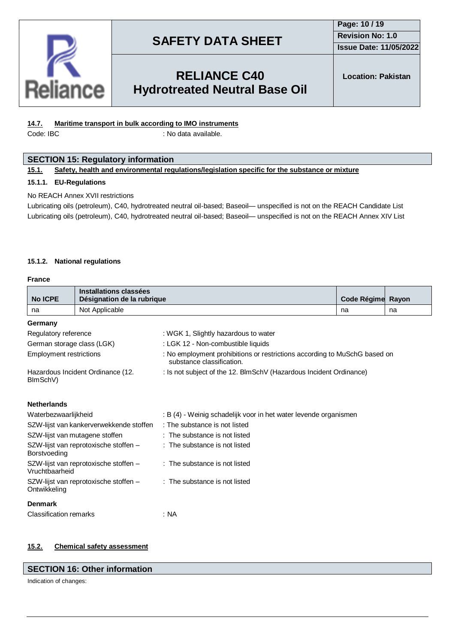

## **Page: 10 / 19 Revision No: 1.0 Issue Date: 11/05/2022**

## **RELIANCE C40 Hydrotreated Neutral Base Oil**

## **14.7. Maritime transport in bulk according to IMO instruments**

Code: IBC : No data available.

### **SECTION 15: Regulatory information**

#### **15.1. Safety, health and environmental regulations/legislation specific for the substance or mixture**

#### **15.1.1. EU-Regulations**

#### No REACH Annex XVII restrictions

Lubricating oils (petroleum), C40, hydrotreated neutral oil-based; Baseoil— unspecified is not on the REACH Candidate List Lubricating oils (petroleum), C40, hydrotreated neutral oil-based; Baseoil— unspecified is not on the REACH Annex XIV List

#### **15.1.2. National regulations**

#### **France**

|                                                         | Installations classées                  |                                                                                                        |                   |    |  |  |
|---------------------------------------------------------|-----------------------------------------|--------------------------------------------------------------------------------------------------------|-------------------|----|--|--|
| <b>No ICPE</b>                                          | Désignation de la rubrique              |                                                                                                        | Code Régime Rayon |    |  |  |
| na                                                      | Not Applicable                          |                                                                                                        | na                | na |  |  |
| Germany                                                 |                                         |                                                                                                        |                   |    |  |  |
| Regulatory reference                                    |                                         | : WGK 1, Slightly hazardous to water                                                                   |                   |    |  |  |
| German storage class (LGK)                              |                                         | : LGK 12 - Non-combustible liquids                                                                     |                   |    |  |  |
| <b>Employment restrictions</b>                          |                                         | : No employment prohibitions or restrictions according to MuSchG based on<br>substance classification. |                   |    |  |  |
| Hazardous Incident Ordinance (12.<br>BImSchV)           |                                         | : Is not subject of the 12. BlmSchV (Hazardous Incident Ordinance)                                     |                   |    |  |  |
| <b>Netherlands</b>                                      |                                         |                                                                                                        |                   |    |  |  |
| Waterbezwaarlijkheid                                    |                                         | : B (4) - Weinig schadelijk voor in het water levende organismen                                       |                   |    |  |  |
|                                                         | SZW-lijst van kankerverwekkende stoffen | : The substance is not listed                                                                          |                   |    |  |  |
| SZW-lijst van mutagene stoffen                          |                                         | : The substance is not listed                                                                          |                   |    |  |  |
| SZW-lijst van reprotoxische stoffen -<br>Borstvoeding   |                                         | : The substance is not listed                                                                          |                   |    |  |  |
| SZW-lijst van reprotoxische stoffen -<br>Vruchtbaarheid |                                         | : The substance is not listed                                                                          |                   |    |  |  |
| SZW-lijst van reprotoxische stoffen -<br>Ontwikkeling   |                                         | : The substance is not listed                                                                          |                   |    |  |  |
| <b>Denmark</b>                                          |                                         |                                                                                                        |                   |    |  |  |
| <b>Classification remarks</b>                           |                                         | : NA                                                                                                   |                   |    |  |  |

### **15.2. Chemical safety assessment**

### **SECTION 16: Other information**

Indication of changes: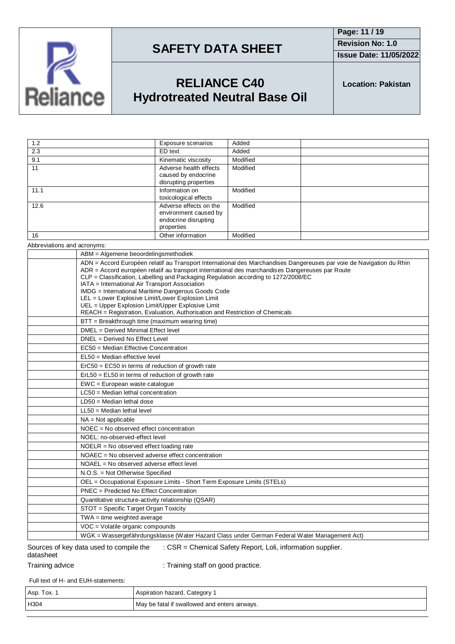

**Page: 11 / 19 Revision No: 1.0 Issue Date: 11/05/2022**

## **RELIANCE C40 Hydrotreated Neutral Base Oil**

**Location: Pakistan**

| 1.2  | Exposure scenarios                                                                    | Added    |
|------|---------------------------------------------------------------------------------------|----------|
| 2.3  | ED text                                                                               | Added    |
| 9.1  | Kinematic viscosity                                                                   | Modified |
| 11   | Adverse health effects<br>caused by endocrine<br>disrupting properties                | Modified |
| 11.1 | Information on<br>toxicological effects                                               | Modified |
| 12.6 | Adverse effects on the<br>environment caused by<br>endocrine disrupting<br>properties | Modified |
| 16   | Other information                                                                     | Modified |
|      |                                                                                       |          |

Abbreviations and acronyms:

| ABM = Algemene beoordelingsmethodiek                                                                                                                                                                                                                                                                                                                                                                                                                                                                                                                                                                            |
|-----------------------------------------------------------------------------------------------------------------------------------------------------------------------------------------------------------------------------------------------------------------------------------------------------------------------------------------------------------------------------------------------------------------------------------------------------------------------------------------------------------------------------------------------------------------------------------------------------------------|
| ADN = Accord Européen relatif au Transport International des Marchandises Dangereuses par voie de Navigation du Rhin<br>ADR = Accord européen relatif au transport international des marchandises Dangereuses par Route<br>CLP = Classification, Labelling and Packaging Regulation according to 1272/2008/EC<br>IATA = International Air Transport Association<br>IMDG = International Maritime Dangerous Goods Code<br>LEL = Lower Explosive Limit/Lower Explosion Limit<br>UEL = Upper Explosion Limit/Upper Explosive Limit<br>REACH = Registration, Evaluation, Authorisation and Restriction of Chemicals |
| BTT = Breakthrough time (maximum wearing time)                                                                                                                                                                                                                                                                                                                                                                                                                                                                                                                                                                  |
| DMEL = Derived Minimal Effect level                                                                                                                                                                                                                                                                                                                                                                                                                                                                                                                                                                             |
| DNEL = Derived No Effect Level                                                                                                                                                                                                                                                                                                                                                                                                                                                                                                                                                                                  |
| EC50 = Median Effective Concentration                                                                                                                                                                                                                                                                                                                                                                                                                                                                                                                                                                           |
| EL50 = Median effective level                                                                                                                                                                                                                                                                                                                                                                                                                                                                                                                                                                                   |
| ErC50 = EC50 in terms of reduction of growth rate                                                                                                                                                                                                                                                                                                                                                                                                                                                                                                                                                               |
| $ErL50 = EL50$ in terms of reduction of growth rate                                                                                                                                                                                                                                                                                                                                                                                                                                                                                                                                                             |
| $EWC = European waste catalogue$                                                                                                                                                                                                                                                                                                                                                                                                                                                                                                                                                                                |
| LC50 = Median lethal concentration                                                                                                                                                                                                                                                                                                                                                                                                                                                                                                                                                                              |
| $LD50 = Median$ lethal dose                                                                                                                                                                                                                                                                                                                                                                                                                                                                                                                                                                                     |
| $LL50$ = Median lethal level                                                                                                                                                                                                                                                                                                                                                                                                                                                                                                                                                                                    |
| $NA = Not applicable$                                                                                                                                                                                                                                                                                                                                                                                                                                                                                                                                                                                           |
| NOEC = No observed effect concentration                                                                                                                                                                                                                                                                                                                                                                                                                                                                                                                                                                         |
| NOEL: no-observed-effect level                                                                                                                                                                                                                                                                                                                                                                                                                                                                                                                                                                                  |
| $NOELR = No observed effect loading rate$                                                                                                                                                                                                                                                                                                                                                                                                                                                                                                                                                                       |
| NOAEC = No observed adverse effect concentration                                                                                                                                                                                                                                                                                                                                                                                                                                                                                                                                                                |
| $NOAEL = No observed adverse effect level$                                                                                                                                                                                                                                                                                                                                                                                                                                                                                                                                                                      |
| N.O.S. = Not Otherwise Specified                                                                                                                                                                                                                                                                                                                                                                                                                                                                                                                                                                                |
| OEL = Occupational Exposure Limits - Short Term Exposure Limits (STELs)                                                                                                                                                                                                                                                                                                                                                                                                                                                                                                                                         |
| PNEC = Predicted No Effect Concentration                                                                                                                                                                                                                                                                                                                                                                                                                                                                                                                                                                        |
| Quantitative structure-activity relationship (QSAR)                                                                                                                                                                                                                                                                                                                                                                                                                                                                                                                                                             |
| STOT = Specific Target Organ Toxicity                                                                                                                                                                                                                                                                                                                                                                                                                                                                                                                                                                           |
| $TWA = time weighted average$                                                                                                                                                                                                                                                                                                                                                                                                                                                                                                                                                                                   |
| VOC = Volatile organic compounds                                                                                                                                                                                                                                                                                                                                                                                                                                                                                                                                                                                |
| WGK = Wassergefährdungsklasse (Water Hazard Class under German Federal Water Management Act)                                                                                                                                                                                                                                                                                                                                                                                                                                                                                                                    |

#### Sources of key data used to compile the datasheet : CSR = Chemical Safety Report, Loli, information supplier.

Training advice **in the state of the Contract** : Training staff on good practice.

Full text of H- and EUH-statements:

| Asp. Tox. | Aspiration hazard, Category 1                 |
|-----------|-----------------------------------------------|
| H304      | May be fatal if swallowed and enters airways. |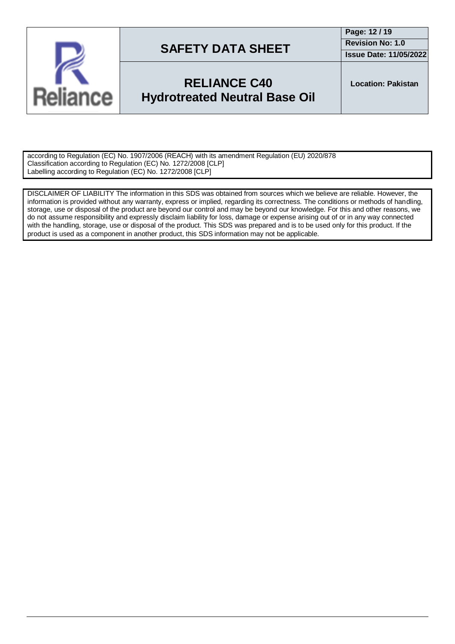

## **RELIANCE C40 Hydrotreated Neutral Base Oil**

**Location: Pakistan**

according to Regulation (EC) No. 1907/2006 (REACH) with its amendment Regulation (EU) 2020/878 Classification according to Regulation (EC) No. 1272/2008 [CLP] Labelling according to Regulation (EC) No. 1272/2008 [CLP]

DISCLAIMER OF LIABILITY The information in this SDS was obtained from sources which we believe are reliable. However, the information is provided without any warranty, express or implied, regarding its correctness. The conditions or methods of handling, storage, use or disposal of the product are beyond our control and may be beyond our knowledge. For this and other reasons, we do not assume responsibility and expressly disclaim liability for loss, damage or expense arising out of or in any way connected with the handling, storage, use or disposal of the product. This SDS was prepared and is to be used only for this product. If the product is used as a component in another product, this SDS information may not be applicable.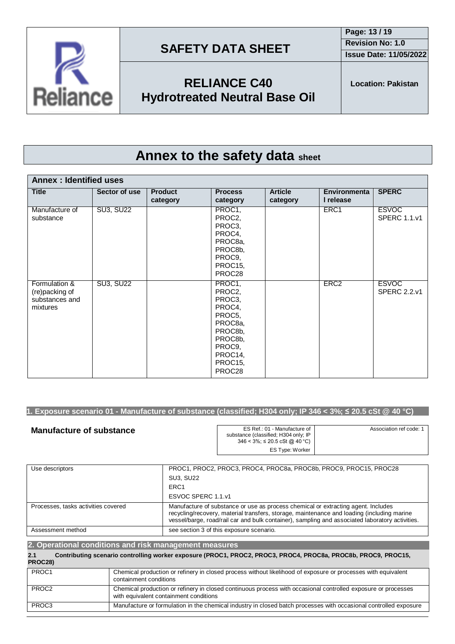



## **RELIANCE C40 Hydrotreated Neutral Base Oil**

# **Annex to the safety data sheet**

| <b>Annex: Identified uses</b>                                 |                  |                            |                                                                                                                           |                            |                                  |                                     |
|---------------------------------------------------------------|------------------|----------------------------|---------------------------------------------------------------------------------------------------------------------------|----------------------------|----------------------------------|-------------------------------------|
| <b>Title</b>                                                  | Sector of use    | <b>Product</b><br>category | <b>Process</b><br>category                                                                                                | <b>Article</b><br>category | <b>Environmenta</b><br>I release | <b>SPERC</b>                        |
| Manufacture of<br>substance                                   | <b>SU3, SU22</b> |                            | PROC1,<br>PROC2,<br>PROC3,<br>PROC4,<br>PROC8a,<br>PROC8b,<br>PROC9,<br>PROC15,<br>PROC28                                 |                            | ERC1                             | <b>ESVOC</b><br><b>SPERC 1.1.v1</b> |
| Formulation &<br>(re)packing of<br>substances and<br>mixtures | <b>SU3, SU22</b> |                            | PROC1,<br>PROC2,<br>PROC3,<br>PROC4,<br>PROC5,<br>PROC8a,<br>PROC8b,<br>PROC8b,<br>PROC9,<br>PROC14,<br>PROC15,<br>PROC28 |                            | ERC <sub>2</sub>                 | <b>ESVOC</b><br><b>SPERC 2.2.v1</b> |

## 1. Exposure scenario 01 - Manufacture of substance (classified; H304 only; IP 346 < 3%;  $\leq$  20.5 cSt @ 40 °C)

| <b>Manufacture of substance</b> | ES Ref.: 01 - Manufacture of I<br>substance (classified; H304 only; IP<br>$346 < 3\%$ ; $\leq 20.5$ cSt @ 40 °C) | Association ref code: 1 |
|---------------------------------|------------------------------------------------------------------------------------------------------------------|-------------------------|
|                                 | ES Type: Worker                                                                                                  |                         |

| Use descriptors                     | PROC1, PROC2, PROC3, PROC4, PROC8a, PROC8b, PROC9, PROC15, PROC28                                                                                                                                                                                                                  |
|-------------------------------------|------------------------------------------------------------------------------------------------------------------------------------------------------------------------------------------------------------------------------------------------------------------------------------|
|                                     | <b>SU3, SU22</b>                                                                                                                                                                                                                                                                   |
|                                     | ERC <sub>1</sub>                                                                                                                                                                                                                                                                   |
|                                     | ESVOC SPERC 1.1.v1                                                                                                                                                                                                                                                                 |
| Processes, tasks activities covered | Manufacture of substance or use as process chemical or extracting agent. Includes<br>recycling/recovery, material transfers, storage, maintenance and loading (including marine<br>vessel/barge, road/rail car and bulk container), sampling and associated laboratory activities. |
| Assessment method                   | see section 3 of this exposure scenario.                                                                                                                                                                                                                                           |

| 2. Operational conditions and risk management measures |  |                                                                                                                                                         |  |
|--------------------------------------------------------|--|---------------------------------------------------------------------------------------------------------------------------------------------------------|--|
| 2.1<br>PROC28)                                         |  | Contributing scenario controlling worker exposure (PROC1, PROC2, PROC3, PROC4, PROC8a, PROC8b, PROC9, PROC15,                                           |  |
| PROC1                                                  |  | Chemical production or refinery in closed process without likelihood of exposure or processes with equivalent<br>containment conditions                 |  |
| PROC <sub>2</sub>                                      |  | Chemical production or refinery in closed continuous process with occasional controlled exposure or processes<br>with equivalent containment conditions |  |
| PROC3                                                  |  | Manufacture or formulation in the chemical industry in closed batch processes with occasional controlled exposure                                       |  |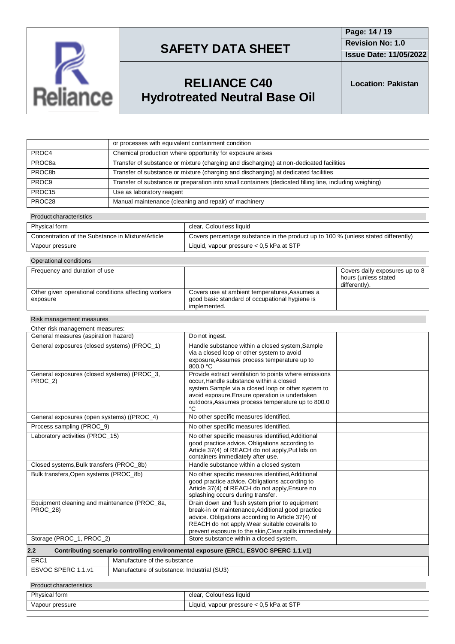

**Issue Date: 11/05/2022**

# **RELIANCE C40 Hydrotreated Neutral Base Oil**

**Location: Pakistan**

|                    | or processes with equivalent containment condition                                                      |
|--------------------|---------------------------------------------------------------------------------------------------------|
| PROC4              | Chemical production where opportunity for exposure arises                                               |
| PROC8a             | Transfer of substance or mixture (charging and discharging) at non-dedicated facilities                 |
| PROC8b             | Transfer of substance or mixture (charging and discharging) at dedicated facilities                     |
| PROC <sub>9</sub>  | Transfer of substance or preparation into small containers (dedicated filling line, including weighing) |
| PROC <sub>15</sub> | Use as laboratory reagent                                                                               |
| PROC28             | Manual maintenance (cleaning and repair) of machinery                                                   |

#### Product characteristics

| Physical form                                     | clear, Colourless liquid                                                           |
|---------------------------------------------------|------------------------------------------------------------------------------------|
| Concentration of the Substance in Mixture/Article | Covers percentage substance in the product up to 100 % (unless stated differently) |
| Vapour pressure                                   | Liquid, vapour pressure $< 0.5$ kPa at STP                                         |

| Operational conditions                                           |                                                                                                                 |                                                                         |  |  |  |
|------------------------------------------------------------------|-----------------------------------------------------------------------------------------------------------------|-------------------------------------------------------------------------|--|--|--|
| Frequency and duration of use                                    |                                                                                                                 | Covers daily exposures up to 8<br>hours (unless stated<br>differently). |  |  |  |
| Other given operational conditions affecting workers<br>exposure | Covers use at ambient temperatures, Assumes a<br>good basic standard of occupational hygiene is<br>implemented. |                                                                         |  |  |  |

#### Risk management measures

| Other risk management measures:                                                            |                                                                                                                                                                                                                                                                      |  |  |
|--------------------------------------------------------------------------------------------|----------------------------------------------------------------------------------------------------------------------------------------------------------------------------------------------------------------------------------------------------------------------|--|--|
| General measures (aspiration hazard)                                                       | Do not ingest.                                                                                                                                                                                                                                                       |  |  |
| General exposures (closed systems) (PROC_1)                                                | Handle substance within a closed system, Sample<br>via a closed loop or other system to avoid<br>exposure, Assumes process temperature up to<br>$800.0 \text{ °C}$                                                                                                   |  |  |
| General exposures (closed systems) (PROC_3,<br>PROC 2)                                     | Provide extract ventilation to points where emissions<br>occur, Handle substance within a closed<br>system, Sample via a closed loop or other system to<br>avoid exposure, Ensure operation is undertaken<br>outdoors, Assumes process temperature up to 800.0<br>°C |  |  |
| General exposures (open systems) ((PROC_4)                                                 | No other specific measures identified.                                                                                                                                                                                                                               |  |  |
| Process sampling (PROC_9)                                                                  | No other specific measures identified.                                                                                                                                                                                                                               |  |  |
| Laboratory activities (PROC 15)                                                            | No other specific measures identified, Additional<br>good practice advice. Obligations according to<br>Article 37(4) of REACH do not apply, Put lids on<br>containers immediately after use.                                                                         |  |  |
| Closed systems, Bulk transfers (PROC 8b)                                                   | Handle substance within a closed system                                                                                                                                                                                                                              |  |  |
| Bulk transfers, Open systems (PROC_8b)                                                     | No other specific measures identified, Additional<br>good practice advice. Obligations according to<br>Article 37(4) of REACH do not apply, Ensure no<br>splashing occurs during transfer.                                                                           |  |  |
| Equipment cleaning and maintenance (PROC 8a,<br><b>PROC 28)</b>                            | Drain down and flush system prior to equipment<br>break-in or maintenance, Additional good practice<br>advice. Obligations according to Article 37(4) of<br>REACH do not apply, Wear suitable coveralls to<br>prevent exposure to the skin, Clear spills immediately |  |  |
| Storage (PROC_1, PROC_2)                                                                   | Store substance within a closed system.                                                                                                                                                                                                                              |  |  |
| Contributing scenario controlling environmental exposure (ERC1, ESVOC SPERC 1.1.v1)<br>2.2 |                                                                                                                                                                                                                                                                      |  |  |
| ED <sub>C</sub> <sub>1</sub><br>Monufacture of the qubetance                               |                                                                                                                                                                                                                                                                      |  |  |

| ERC <sup>2</sup>             | Manufacture of the substance               |
|------------------------------|--------------------------------------------|
| <b>ESVOC SPERC</b><br>. 1 v. | Manufacture of substance: Industrial (SU3) |
|                              |                                            |

#### Product characteristics

| Physical form   | clear, Colourless liquid                   |
|-----------------|--------------------------------------------|
| Vapour pressure | Liquid, vapour pressure $< 0.5$ kPa at STP |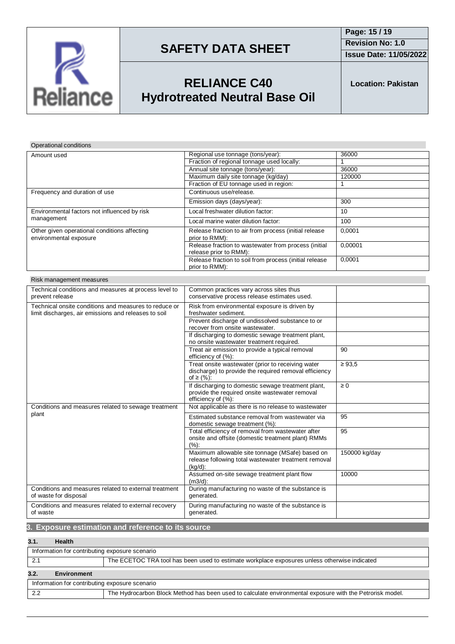

**Issue Date: 11/05/2022**

# **RELIANCE C40 Hydrotreated Neutral Base Oil**

**Location: Pakistan**

## Operational conditions

| Amount used                                                            | Regional use tonnage (tons/year):                                              | 36000   |
|------------------------------------------------------------------------|--------------------------------------------------------------------------------|---------|
|                                                                        | Fraction of regional tonnage used locally:                                     |         |
|                                                                        | Annual site tonnage (tons/year):                                               | 36000   |
|                                                                        | Maximum daily site tonnage (kg/day)                                            | 120000  |
|                                                                        | Fraction of EU tonnage used in region:                                         |         |
| Frequency and duration of use                                          | Continuous use/release.                                                        |         |
|                                                                        | Emission days (days/year):                                                     | 300     |
| Environmental factors not influenced by risk<br>management             | Local freshwater dilution factor:                                              | 10      |
|                                                                        | Local marine water dilution factor:                                            | 100     |
| Other given operational conditions affecting<br>environmental exposure | Release fraction to air from process (initial release<br>prior to RMM):        | 0,0001  |
|                                                                        | Release fraction to wastewater from process (initial<br>release prior to RMM): | 0,00001 |
|                                                                        | Release fraction to soil from process (initial release<br>prior to RMM):       | 0,0001  |

| Risk management measures |  |
|--------------------------|--|
|--------------------------|--|

| <u>INSK INGHAGCHICHI INCASULCS</u>                                                                            |                                                                                                                            |               |
|---------------------------------------------------------------------------------------------------------------|----------------------------------------------------------------------------------------------------------------------------|---------------|
| Technical conditions and measures at process level to                                                         | Common practices vary across sites thus                                                                                    |               |
| prevent release                                                                                               | conservative process release estimates used.                                                                               |               |
| Technical onsite conditions and measures to reduce or<br>limit discharges, air emissions and releases to soil | Risk from environmental exposure is driven by<br>freshwater sediment.                                                      |               |
|                                                                                                               | Prevent discharge of undissolved substance to or<br>recover from onsite wastewater.                                        |               |
|                                                                                                               | If discharging to domestic sewage treatment plant,<br>no onsite wastewater treatment required.                             |               |
|                                                                                                               | Treat air emission to provide a typical removal<br>efficiency of (%):                                                      | 90            |
|                                                                                                               | Treat onsite wastewater (prior to receiving water<br>discharge) to provide the required removal efficiency<br>of ≥ $(%):$  | $\geq 93.5$   |
|                                                                                                               | If discharging to domestic sewage treatment plant,<br>provide the required onsite wastewater removal<br>efficiency of (%): | $\geq 0$      |
| Conditions and measures related to sewage treatment                                                           | Not applicable as there is no release to wastewater                                                                        |               |
| plant                                                                                                         | Estimated substance removal from wastewater via<br>domestic sewage treatment (%):                                          | 95            |
|                                                                                                               | Total efficiency of removal from wastewater after<br>onsite and offsite (domestic treatment plant) RMMs<br>(%):            | 95            |
|                                                                                                               | Maximum allowable site tonnage (MSafe) based on<br>release following total wastewater treatment removal<br>$(kq/d)$ :      | 150000 kg/day |
|                                                                                                               | Assumed on-site sewage treatment plant flow<br>$(m3/d)$ :                                                                  | 10000         |
| Conditions and measures related to external treatment<br>of waste for disposal                                | During manufacturing no waste of the substance is<br>generated.                                                            |               |
| Conditions and measures related to external recovery<br>of waste                                              | During manufacturing no waste of the substance is<br>generated.                                                            |               |

## **3. Exposure estimation and reference to its source**

## **3.1. Health**

| Information for contributing exposure scenario                                                                  |  |  |  |  |
|-----------------------------------------------------------------------------------------------------------------|--|--|--|--|
| The ECETOC TRA tool has been used to estimate workplace exposures unless otherwise indicated                    |  |  |  |  |
| 3.2.<br><b>Environment</b>                                                                                      |  |  |  |  |
| Information for contributing exposure scenario                                                                  |  |  |  |  |
| 2.2<br>The Hydrocarbon Block Method has been used to calculate environmental exposure with the Petrorisk model. |  |  |  |  |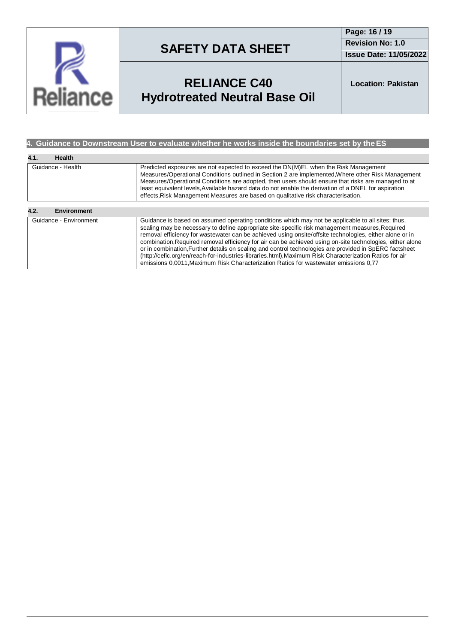

**Page: 16 / 19 Revision No: 1.0 Issue Date: 11/05/2022**

# **RELIANCE C40 Hydrotreated Neutral Base Oil**

**Location: Pakistan**

## **4. Guidance to Downstream User to evaluate whether he works inside the boundaries set by theES**

| 4.1.<br><b>Health</b>      |                                                                                                                                                                                                                                                                                                                                                                                                                                                                                                                                                                                                                                                                                                                                           |
|----------------------------|-------------------------------------------------------------------------------------------------------------------------------------------------------------------------------------------------------------------------------------------------------------------------------------------------------------------------------------------------------------------------------------------------------------------------------------------------------------------------------------------------------------------------------------------------------------------------------------------------------------------------------------------------------------------------------------------------------------------------------------------|
| Guidance - Health          | Predicted exposures are not expected to exceed the DN(M)EL when the Risk Management<br>Measures/Operational Conditions outlined in Section 2 are implemented, Where other Risk Management<br>Measures/Operational Conditions are adopted, then users should ensure that risks are managed to at<br>least equivalent levels. Available hazard data do not enable the derivation of a DNEL for aspiration<br>effects, Risk Management Measures are based on qualitative risk characterisation.                                                                                                                                                                                                                                              |
|                            |                                                                                                                                                                                                                                                                                                                                                                                                                                                                                                                                                                                                                                                                                                                                           |
| 4.2.<br><b>Environment</b> |                                                                                                                                                                                                                                                                                                                                                                                                                                                                                                                                                                                                                                                                                                                                           |
| Guidance - Environment     | Guidance is based on assumed operating conditions which may not be applicable to all sites; thus,<br>scaling may be necessary to define appropriate site-specific risk management measures, Required<br>removal efficiency for wastewater can be achieved using onsite/offsite technologies, either alone or in<br>combination, Required removal efficiency for air can be achieved using on-site technologies, either alone<br>or in combination. Further details on scaling and control technologies are provided in SpERC factsheet<br>(http://cefic.org/en/reach-for-industries-libraries.html), Maximum Risk Characterization Ratios for air<br>emissions 0,0011, Maximum Risk Characterization Ratios for wastewater emissions 0,77 |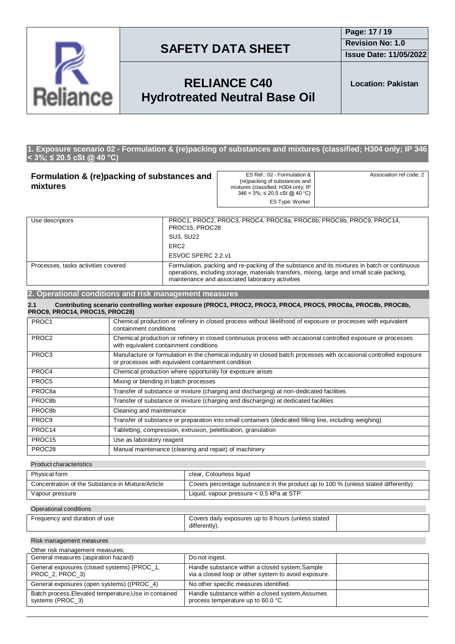

**Issue Date: 11/05/2022**

## **RELIANCE C40 Hydrotreated Neutral Base Oil**

**Location: Pakistan**

#### **1. Exposure scenario 02 - Formulation & (re)packing of substances and mixtures (classified; H304 only; IP 346 < 3%; ≤ 20.5 cSt @ 40 °C)**

| Formulation & (re)packing of substances and<br>mixtures |                                                                                                                                                                                                                                                | ES Ref.: 02 - Formulation &<br>(re)packing of substances and<br>mixtures (classified; H304 only; IP<br>$346 < 3\%$ ; $\leq 20.5$ cSt @ 40 °C)<br><b>ES Type: Worker</b> | Association ref code: 2                                                                                       |  |
|---------------------------------------------------------|------------------------------------------------------------------------------------------------------------------------------------------------------------------------------------------------------------------------------------------------|-------------------------------------------------------------------------------------------------------------------------------------------------------------------------|---------------------------------------------------------------------------------------------------------------|--|
|                                                         |                                                                                                                                                                                                                                                |                                                                                                                                                                         |                                                                                                               |  |
| Use descriptors<br>PROC15, PROC28                       |                                                                                                                                                                                                                                                | PROC1, PROC2, PROC3, PROC4, PROC8a, PROC8b, PROC8b, PROC9, PROC14,                                                                                                      |                                                                                                               |  |
|                                                         |                                                                                                                                                                                                                                                | <b>SU3, SU22</b>                                                                                                                                                        |                                                                                                               |  |
| ERC <sub>2</sub>                                        |                                                                                                                                                                                                                                                |                                                                                                                                                                         |                                                                                                               |  |
| ESVOC SPERC 2.2.v1                                      |                                                                                                                                                                                                                                                |                                                                                                                                                                         |                                                                                                               |  |
| Processes, tasks activities covered                     | Formulation, packing and re-packing of the substance and its mixtures in batch or continuous<br>operations, including storage, materials transfers, mixing, large and small scale packing,<br>maintenance and associated laboratory activities |                                                                                                                                                                         |                                                                                                               |  |
| 2. Operational conditions and risk management measures  |                                                                                                                                                                                                                                                |                                                                                                                                                                         |                                                                                                               |  |
| 2.1<br>PROC9, PROC14, PROC15, PROC28)                   |                                                                                                                                                                                                                                                |                                                                                                                                                                         | Contributing scenario controlling worker exposure (PROC1, PROC2, PROC3, PROC4, PROC5, PROC8a, PROC8b, PROC8b, |  |
| PROC1                                                   | Chemical production or refinery in closed process without likelihood of exposure or processes with equivalent<br>containment conditions                                                                                                        |                                                                                                                                                                         |                                                                                                               |  |
| PROC <sub>2</sub>                                       | Chemical production or refinery in closed continuous process with occasional controlled exposure or processes<br>with equivalent containment conditions                                                                                        |                                                                                                                                                                         |                                                                                                               |  |
| PROC <sub>3</sub>                                       | Manufacture or formulation in the chemical industry in closed batch processes with occasional controlled exposure<br>or processes with equivalent containment condition                                                                        |                                                                                                                                                                         |                                                                                                               |  |
| PROC4                                                   | Chemical production where opportunity for exposure arises                                                                                                                                                                                      |                                                                                                                                                                         |                                                                                                               |  |
| PROC5                                                   | Mixing or blending in batch processes                                                                                                                                                                                                          |                                                                                                                                                                         |                                                                                                               |  |
| PROC <sub>8a</sub>                                      | Transfer of substance or mixture (charging and discharging) at non-dedicated facilities                                                                                                                                                        |                                                                                                                                                                         |                                                                                                               |  |

PROC8b Transfer of substance or mixture (charging and discharging) at dedicated facilities PROC8b Cleaning and maintenance PROC9 Transfer of substance or preparation into small containers (dedicated filling line, including weighing) PROC14 Tabletting, compression, extrusion, pelettisation, granulation PROC15 Use as laboratory reagent

PROC28 Manual maintenance (cleaning and repair) of machinery Product characteristics

| Physical form                                     | clear, Colourless liquid                                                           |
|---------------------------------------------------|------------------------------------------------------------------------------------|
| Concentration of the Substance in Mixture/Article | Covers percentage substance in the product up to 100 % (unless stated differently) |
| Vapour pressure                                   | Liquid, vapour pressure $< 0.5$ kPa at STP                                         |
|                                                   |                                                                                    |

#### Operational conditions

| Covers daily exposures up to 8 hours (unless stated<br>Frequency and duration of use |               |  |
|--------------------------------------------------------------------------------------|---------------|--|
|                                                                                      | differentlv). |  |

Risk management measures

| Other risk management measures:                                           |                                                                                                         |  |
|---------------------------------------------------------------------------|---------------------------------------------------------------------------------------------------------|--|
| General measures (aspiration hazard)                                      | Do not ingest.                                                                                          |  |
| General exposures (closed systems) (PROC_1,<br>PROC_2, PROC_3)            | Handle substance within a closed system, Sample<br>via a closed loop or other system to avoid exposure. |  |
| General exposures (open systems) ((PROC_4)                                | No other specific measures identified.                                                                  |  |
| Batch process, Elevated temperature, Use in contained<br>systems (PROC 3) | Handle substance within a closed system, Assumes<br>process temperature up to 60.0 °C                   |  |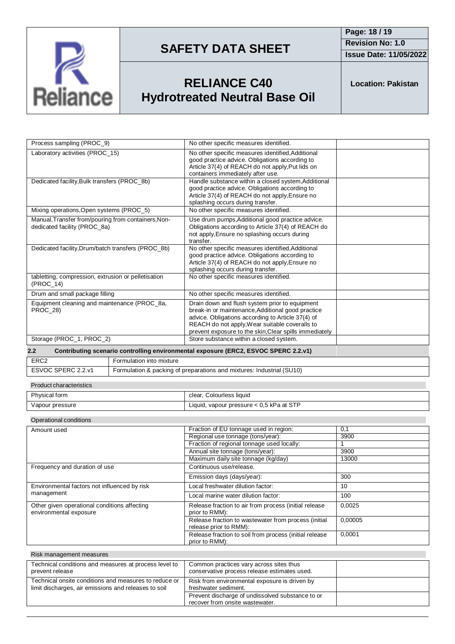

**Issue Date: 11/05/2022**

# **RELIANCE C40 Hydrotreated Neutral Base Oil**

**Location: Pakistan**

| Process sampling (PROC 9)                                                           |                          | No other specific measures identified.                                                                                                                                                                                                                               |  |
|-------------------------------------------------------------------------------------|--------------------------|----------------------------------------------------------------------------------------------------------------------------------------------------------------------------------------------------------------------------------------------------------------------|--|
| Laboratory activities (PROC 15)                                                     |                          | No other specific measures identified, Additional<br>good practice advice. Obligations according to<br>Article 37(4) of REACH do not apply, Put lids on<br>containers immediately after use.                                                                         |  |
| Dedicated facility, Bulk transfers (PROC_8b)                                        |                          | Handle substance within a closed system, Additional<br>good practice advice. Obligations according to<br>Article 37(4) of REACH do not apply, Ensure no<br>splashing occurs during transfer.                                                                         |  |
| Mixing operations, Open systems (PROC_5)                                            |                          | No other specific measures identified.                                                                                                                                                                                                                               |  |
| Manual, Transfer from/pouring from containers, Non-<br>dedicated facility (PROC 8a) |                          | Use drum pumps, Additional good practice advice.<br>Obligations according to Article 37(4) of REACH do<br>not apply, Ensure no splashing occurs during<br>transfer.                                                                                                  |  |
| Dedicated facility, Drum/batch transfers (PROC 8b)                                  |                          | No other specific measures identified, Additional<br>good practice advice. Obligations according to<br>Article 37(4) of REACH do not apply, Ensure no<br>splashing occurs during transfer.                                                                           |  |
| tabletting, compression, extrusion or pelletisation<br>(PROC 14)                    |                          | No other specific measures identified.                                                                                                                                                                                                                               |  |
| Drum and small package filling                                                      |                          | No other specific measures identified.                                                                                                                                                                                                                               |  |
| Equipment cleaning and maintenance (PROC_8a,<br><b>PROC 28)</b>                     |                          | Drain down and flush system prior to equipment<br>break-in or maintenance, Additional good practice<br>advice. Obligations according to Article 37(4) of<br>REACH do not apply, Wear suitable coveralls to<br>prevent exposure to the skin, Clear spills immediately |  |
| Storage (PROC_1, PROC_2)                                                            |                          | Store substance within a closed system.                                                                                                                                                                                                                              |  |
| 2.2                                                                                 |                          | Contributing scenario controlling environmental exposure (ERC2, ESVOC SPERC 2.2.v1)                                                                                                                                                                                  |  |
| ERC <sub>2</sub>                                                                    | Formulation into mixture |                                                                                                                                                                                                                                                                      |  |
| ESVOC SPERC 2.2.v1                                                                  |                          | Formulation & packing of preparations and mixtures: Industrial (SU10)                                                                                                                                                                                                |  |
| <b>Product characteristics</b>                                                      |                          |                                                                                                                                                                                                                                                                      |  |
| Physical form                                                                       |                          | clear, Colourless liquid                                                                                                                                                                                                                                             |  |
| Vapour pressure                                                                     |                          | Liquid, vapour pressure < 0,5 kPa at STP                                                                                                                                                                                                                             |  |

#### Operational conditions

| Amount used                                                            | Fraction of EU tonnage used in region:                                         | 0,1     |
|------------------------------------------------------------------------|--------------------------------------------------------------------------------|---------|
|                                                                        | Regional use tonnage (tons/year):                                              | 3900    |
|                                                                        | Fraction of regional tonnage used locally:                                     |         |
|                                                                        | Annual site tonnage (tons/year):                                               | 3900    |
|                                                                        | Maximum daily site tonnage (kg/day)                                            | 13000   |
| Frequency and duration of use                                          | Continuous use/release.                                                        |         |
|                                                                        | Emission days (days/year):                                                     | 300     |
| Environmental factors not influenced by risk                           | Local freshwater dilution factor:                                              | 10      |
| management                                                             | Local marine water dilution factor:                                            | 100     |
| Other given operational conditions affecting<br>environmental exposure | Release fraction to air from process (initial release<br>prior to RMM):        | 0,0025  |
|                                                                        | Release fraction to wastewater from process (initial<br>release prior to RMM): | 0.00005 |
|                                                                        | Release fraction to soil from process (initial release<br>prior to RMM):       | 0,0001  |

| Risk management measures                                                                                      |                                                                                         |  |
|---------------------------------------------------------------------------------------------------------------|-----------------------------------------------------------------------------------------|--|
| Technical conditions and measures at process level to<br>prevent release                                      | Common practices vary across sites thus<br>conservative process release estimates used. |  |
| Technical onsite conditions and measures to reduce or<br>limit discharges, air emissions and releases to soil | Risk from environmental exposure is driven by<br>freshwater sediment.                   |  |
|                                                                                                               | Prevent discharge of undissolved substance to or<br>recover from onsite wastewater.     |  |